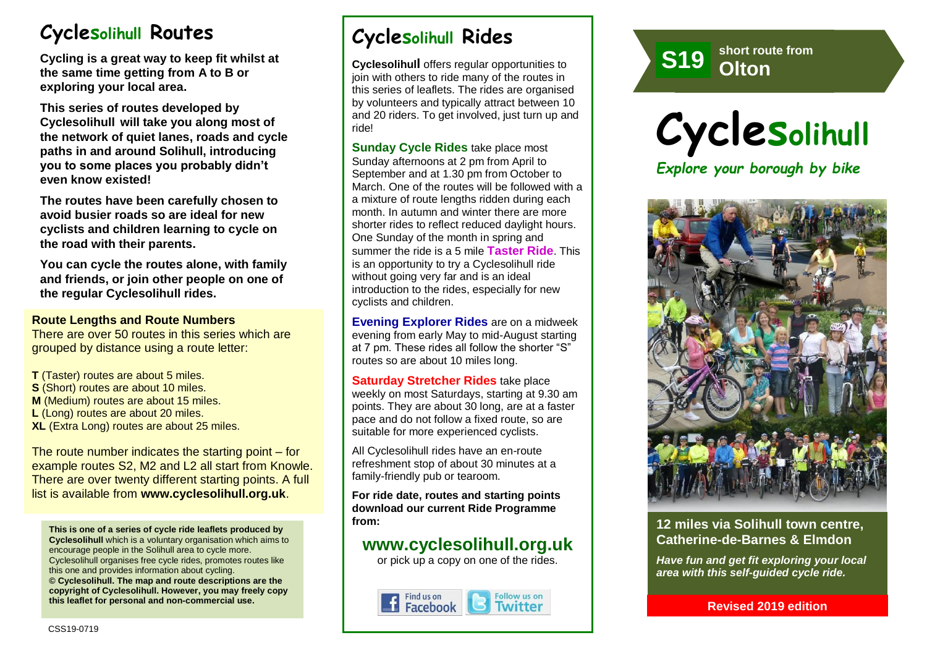# **Cyclesolihull Routes**

**Cycling is a great way to keep fit whilst at the same time getting from A to B or exploring your local area.** 

**This series of routes developed by Cyclesolihull will take you along most of the network of quiet lanes, roads and cycle paths in and around Solihull, introducing you to some places you probably didn't even know existed!**

**The routes have been carefully chosen to avoid busier roads so are ideal for new cyclists and children learning to cycle on the road with their parents.** 

**You can cycle the routes alone, with family and friends, or join other people on one of the regular Cyclesolihull rides.**

#### **Route Lengths and Route Numbers**

There are over 50 routes in this series which are grouped by distance using a route letter:

- **T** (Taster) routes are about 5 miles.
- **S** (Short) routes are about 10 miles.
- **M** (Medium) routes are about 15 miles.
- **L** (Long) routes are about 20 miles.
- **XL** (Extra Long) routes are about 25 miles.

The route number indicates the starting point – for example routes S2, M2 and L2 all start from Knowle. There are over twenty different starting points. A full list is available from **www.cyclesolihull.org.uk**.

**This is one of a series of cycle ride leaflets produced by Cyclesolihull** which is a voluntary organisation which aims to encourage people in the Solihull area to cycle more. Cyclesolihull organises free cycle rides, promotes routes like this one and provides information about cycling. **© Cyclesolihull. The map and route descriptions are the copyright of Cyclesolihull. However, you may freely copy this leaflet for personal and non-commercial use.**

# **Cyclesolihull Rides**

**Cyclesolihull** offers regular opportunities to join with others to ride many of the routes in this series of leaflets. The rides are organised by volunteers and typically attract between 10 and 20 riders. To get involved, just turn up and ride!

**Sunday Cycle Rides** take place most Sunday afternoons at 2 pm from April to September and at 1.30 pm from October to March. One of the routes will be followed with a a mixture of route lengths ridden during each month. In autumn and winter there are more shorter rides to reflect reduced daylight hours. One Sunday of the month in spring and summer the ride is a 5 mile **Taster Ride**. This is an opportunity to try a Cyclesolihull ride without going very far and is an ideal introduction to the rides, especially for new cyclists and children.

**Evening Explorer Rides** are on a midweek evening from early May to mid-August starting at 7 pm. These rides all follow the shorter "S" routes so are about 10 miles long.

**Saturday Stretcher Rides** take place weekly on most Saturdays, starting at 9.30 am points. They are about 30 long, are at a faster pace and do not follow a fixed route, so are suitable for more experienced cyclists.

All Cyclesolihull rides have an en-route refreshment stop of about 30 minutes at a family-friendly pub or tearoom.

**For ride date, routes and starting points download our current Ride Programme from:** 

## **www.cyclesolihull.org.uk**

or pick up a copy on one of the rides.



short route from<br>**Olton short route from S1 Olton <sup>9</sup>**

**Cyclesolihull** *Explore your borough by bike*



### **12 miles via Solihull town centre, Catherine-de-Barnes & Elmdon**

*Have fun and get fit exploring your local area with this self-guided cycle ride.*

**Revised 2019 edition**